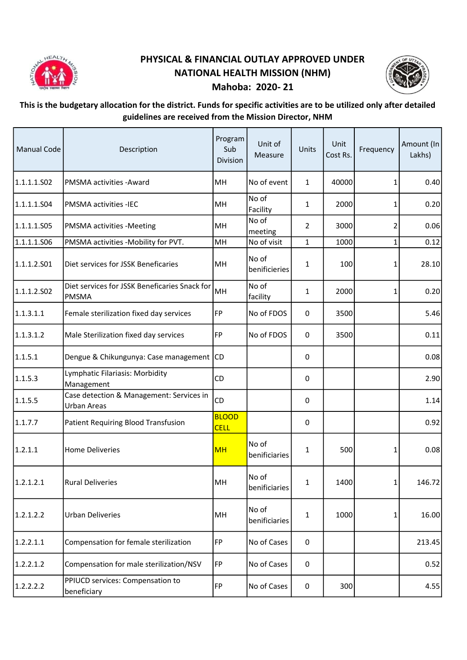

## PHYSICAL & FINANCIAL OUTLAY APPROVED UNDER NATIONAL HEALTH MISSION (NHM) Mahoba: 2020- 21



## This is the budgetary allocation for the district. Funds for specific activities are to be utilized only after detailed guidelines are received from the Mission Director, NHM

| <b>Manual Code</b> | Description                                                   | Program<br>Sub<br>Division  | Unit of<br>Measure     | Units          | Unit<br>Cost Rs. | Frequency | Amount (In<br>Lakhs) |
|--------------------|---------------------------------------------------------------|-----------------------------|------------------------|----------------|------------------|-----------|----------------------|
| 1.1.1.1.S02        | PMSMA activities - Award                                      | MH                          | No of event            | $\mathbf{1}$   | 40000            | 1         | 0.40                 |
| 1.1.1.1.504        | PMSMA activities -IEC                                         | MH                          | No of<br>Facility      | 1              | 2000             | 1         | 0.20                 |
| 1.1.1.1.S05        | PMSMA activities -Meeting                                     | MH                          | No of<br>meeting       | $\overline{2}$ | 3000             | 2         | 0.06                 |
| 1.1.1.1.506        | PMSMA activities -Mobility for PVT.                           | MH                          | No of visit            | $\mathbf{1}$   | 1000             | 1         | 0.12                 |
| 1.1.1.2.501        | Diet services for JSSK Beneficaries                           | MH                          | No of<br>benificieries | 1              | 100              | 1         | 28.10                |
| 1.1.1.2.502        | Diet services for JSSK Beneficaries Snack for<br><b>PMSMA</b> | MH                          | No of<br>facility      | 1              | 2000             | 1         | 0.20                 |
| 1.1.3.1.1          | Female sterilization fixed day services                       | FP                          | No of FDOS             | 0              | 3500             |           | 5.46                 |
| 1.1.3.1.2          | Male Sterilization fixed day services                         | FP                          | No of FDOS             | 0              | 3500             |           | 0.11                 |
| 1.1.5.1            | Dengue & Chikungunya: Case management CD                      |                             |                        | 0              |                  |           | 0.08                 |
| 1.1.5.3            | Lymphatic Filariasis: Morbidity<br>Management                 | CD                          |                        | 0              |                  |           | 2.90                 |
| 1.1.5.5            | Case detection & Management: Services in<br>Urban Areas       | <b>CD</b>                   |                        | 0              |                  |           | 1.14                 |
| 1.1.7.7            | <b>Patient Requiring Blood Transfusion</b>                    | <b>BLOOD</b><br><b>CELL</b> |                        | 0              |                  |           | 0.92                 |
| 1.2.1.1            | <b>Home Deliveries</b>                                        | <b>MH</b>                   | No of<br>benificiaries | 1              | 500              | 1         | 0.08                 |
| 1.2.1.2.1          | <b>Rural Deliveries</b>                                       | MH                          | No of<br>benificiaries | $\mathbf{1}$   | 1400             | 1         | 146.72               |
| 1.2.1.2.2          | <b>Urban Deliveries</b>                                       | MH                          | No of<br>benificiaries | 1              | 1000             | 1         | 16.00                |
| 1.2.2.1.1          | Compensation for female sterilization                         | <b>FP</b>                   | No of Cases            | 0              |                  |           | 213.45               |
| 1.2.2.1.2          | Compensation for male sterilization/NSV                       | <b>FP</b>                   | No of Cases            | 0              |                  |           | 0.52                 |
| 1.2.2.2.2          | PPIUCD services: Compensation to<br>beneficiary               | FP                          | No of Cases            | $\pmb{0}$      | 300              |           | 4.55                 |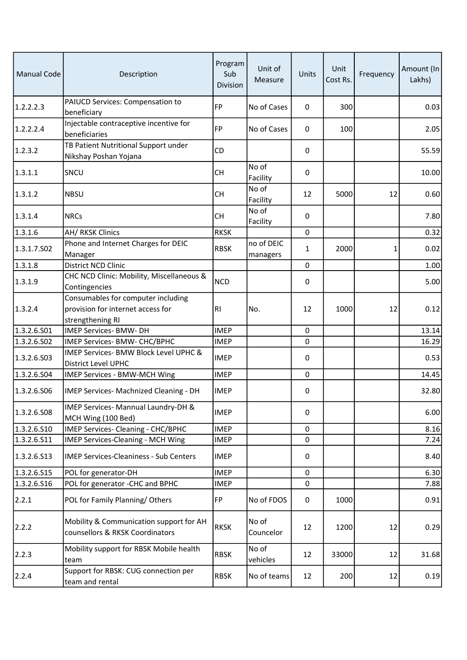| <b>Manual Code</b> | Description                                                                                 | Program<br>Sub<br>Division | Unit of<br>Measure     | Units        | Unit<br>Cost Rs. | Frequency | Amount (In<br>Lakhs) |
|--------------------|---------------------------------------------------------------------------------------------|----------------------------|------------------------|--------------|------------------|-----------|----------------------|
| 1.2.2.2.3          | PAIUCD Services: Compensation to<br>beneficiary                                             | <b>FP</b>                  | No of Cases            | 0            | 300              |           | 0.03                 |
| 1.2.2.2.4          | Injectable contraceptive incentive for<br>beneficiaries                                     | FP                         | No of Cases            | 0            | 100              |           | 2.05                 |
| 1.2.3.2            | TB Patient Nutritional Support under<br>Nikshay Poshan Yojana                               | <b>CD</b>                  |                        | 0            |                  |           | 55.59                |
| 1.3.1.1            | SNCU                                                                                        | <b>CH</b>                  | No of<br>Facility      | 0            |                  |           | 10.00                |
| 1.3.1.2            | <b>NBSU</b>                                                                                 | <b>CH</b>                  | No of<br>Facility      | 12           | 5000             | 12        | 0.60                 |
| 1.3.1.4            | <b>NRCs</b>                                                                                 | <b>CH</b>                  | No of<br>Facility      | 0            |                  |           | 7.80                 |
| 1.3.1.6            | AH/ RKSK Clinics                                                                            | <b>RKSK</b>                |                        | 0            |                  |           | 0.32                 |
| 1.3.1.7.S02        | Phone and Internet Charges for DEIC<br>Manager                                              | <b>RBSK</b>                | no of DEIC<br>managers | $\mathbf{1}$ | 2000             | 1         | 0.02                 |
| 1.3.1.8            | District NCD Clinic                                                                         |                            |                        | 0            |                  |           | 1.00                 |
| 1.3.1.9            | CHC NCD Clinic: Mobility, Miscellaneous &<br>Contingencies                                  | <b>NCD</b>                 |                        | 0            |                  |           | 5.00                 |
| 1.3.2.4            | Consumables for computer including<br>provision for internet access for<br>strengthening RI | R1                         | No.                    | 12           | 1000             | 12        | 0.12                 |
| 1.3.2.6.S01        | IMEP Services- BMW- DH                                                                      | <b>IMEP</b>                |                        | $\mathbf 0$  |                  |           | 13.14                |
| 1.3.2.6.S02        | IMEP Services- BMW- CHC/BPHC                                                                | <b>IMEP</b>                |                        | 0            |                  |           | 16.29                |
| 1.3.2.6.503        | IMEP Services- BMW Block Level UPHC &<br><b>District Level UPHC</b>                         | <b>IMEP</b>                |                        | 0            |                  |           | 0.53                 |
| 1.3.2.6.S04        | IMEP Services - BMW-MCH Wing                                                                | <b>IMEP</b>                |                        | $\mathbf 0$  |                  |           | 14.45                |
| 1.3.2.6.506        | IMEP Services- Machnized Cleaning - DH                                                      | <b>IMEP</b>                |                        | 0            |                  |           | 32.80                |
| 1.3.2.6.S08        | IMEP Services- Mannual Laundry-DH &<br>MCH Wing (100 Bed)                                   | <b>IMEP</b>                |                        | 0            |                  |           | 6.00                 |
| 1.3.2.6.510        | IMEP Services- Cleaning - CHC/BPHC                                                          | <b>IMEP</b>                |                        | 0            |                  |           | 8.16                 |
| 1.3.2.6.511        | IMEP Services-Cleaning - MCH Wing                                                           | <b>IMEP</b>                |                        | $\mathbf 0$  |                  |           | 7.24                 |
| 1.3.2.6.513        | <b>IMEP Services-Cleaniness - Sub Centers</b>                                               | <b>IMEP</b>                |                        | 0            |                  |           | 8.40                 |
| 1.3.2.6.S15        | POL for generator-DH                                                                        | <b>IMEP</b>                |                        | 0            |                  |           | 6.30                 |
| 1.3.2.6.516        | POL for generator -CHC and BPHC                                                             | <b>IMEP</b>                |                        | $\mathbf 0$  |                  |           | 7.88                 |
| 2.2.1              | POL for Family Planning/Others                                                              | FP                         | No of FDOS             | $\mathbf 0$  | 1000             |           | 0.91                 |
| 2.2.2              | Mobility & Communication support for AH<br>counsellors & RKSK Coordinators                  | <b>RKSK</b>                | No of<br>Councelor     | 12           | 1200             | 12        | 0.29                 |
| 2.2.3              | Mobility support for RBSK Mobile health<br>team                                             | <b>RBSK</b>                | No of<br>vehicles      | 12           | 33000            | 12        | 31.68                |
| 2.2.4              | Support for RBSK: CUG connection per<br>team and rental                                     | <b>RBSK</b>                | No of teams            | 12           | 200              | 12        | 0.19                 |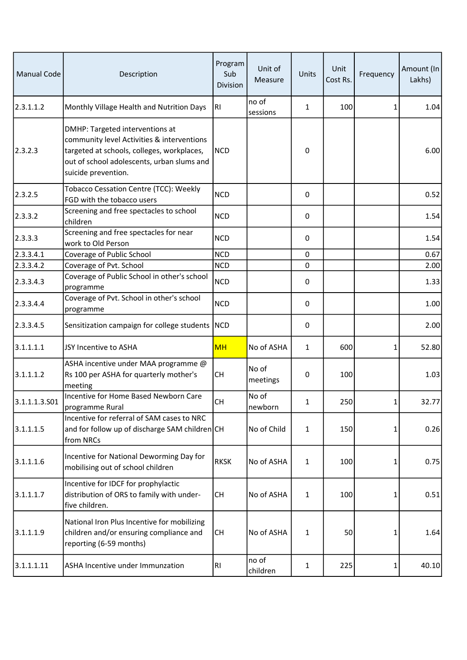| <b>Manual Code</b> | Description                                                                                                                                                                                      | Program<br>Sub<br>Division | Unit of<br>Measure | Units        | Unit<br>Cost Rs. | Frequency | Amount (In<br>Lakhs) |
|--------------------|--------------------------------------------------------------------------------------------------------------------------------------------------------------------------------------------------|----------------------------|--------------------|--------------|------------------|-----------|----------------------|
| 2.3.1.1.2          | Monthly Village Health and Nutrition Days                                                                                                                                                        | RI                         | no of<br>sessions  | $\mathbf{1}$ | 100              | 1         | 1.04                 |
| 2.3.2.3            | DMHP: Targeted interventions at<br>community level Activities & interventions<br>targeted at schools, colleges, workplaces,<br>out of school adolescents, urban slums and<br>suicide prevention. | <b>NCD</b>                 |                    | 0            |                  |           | 6.00                 |
| 2.3.2.5            | Tobacco Cessation Centre (TCC): Weekly<br>FGD with the tobacco users                                                                                                                             | <b>NCD</b>                 |                    | $\pmb{0}$    |                  |           | 0.52                 |
| 2.3.3.2            | Screening and free spectacles to school<br>children                                                                                                                                              | <b>NCD</b>                 |                    | 0            |                  |           | 1.54                 |
| 2.3.3.3            | Screening and free spectacles for near<br>work to Old Person                                                                                                                                     | <b>NCD</b>                 |                    | $\pmb{0}$    |                  |           | 1.54                 |
| 2.3.3.4.1          | Coverage of Public School                                                                                                                                                                        | <b>NCD</b>                 |                    | 0            |                  |           | 0.67                 |
| 2.3.3.4.2          | Coverage of Pvt. School                                                                                                                                                                          | <b>NCD</b>                 |                    | $\mathbf 0$  |                  |           | 2.00                 |
| 2.3.3.4.3          | Coverage of Public School in other's school<br>programme                                                                                                                                         | <b>NCD</b>                 |                    | 0            |                  |           | 1.33                 |
| 2.3.3.4.4          | Coverage of Pvt. School in other's school<br>programme                                                                                                                                           | <b>NCD</b>                 |                    | 0            |                  |           | 1.00                 |
| 2.3.3.4.5          | Sensitization campaign for college students                                                                                                                                                      | NCD                        |                    | $\pmb{0}$    |                  |           | 2.00                 |
| 3.1.1.1.1          | JSY Incentive to ASHA                                                                                                                                                                            | <b>MH</b>                  | No of ASHA         | 1            | 600              | 1         | 52.80                |
| 3.1.1.1.2          | ASHA incentive under MAA programme @<br>Rs 100 per ASHA for quarterly mother's<br>meeting                                                                                                        | <b>CH</b>                  | No of<br>meetings  | 0            | 100              |           | 1.03                 |
| 3.1.1.1.3.501      | Incentive for Home Based Newborn Care<br>programme Rural                                                                                                                                         | СH                         | No of<br>newborn   | 1            | 250              | 1         | 32.77                |
| 3.1.1.1.5          | Incentive for referral of SAM cases to NRC<br>and for follow up of discharge SAM children CH<br>from NRCs                                                                                        |                            | No of Child        | 1            | 150              | 1         | 0.26                 |
| 3.1.1.1.6          | Incentive for National Deworming Day for<br>mobilising out of school children                                                                                                                    | <b>RKSK</b>                | No of ASHA         | 1            | 100              | 1         | 0.75                 |
| 3.1.1.1.7          | Incentive for IDCF for prophylactic<br>distribution of ORS to family with under-<br>five children.                                                                                               | <b>CH</b>                  | No of ASHA         | 1            | 100              | 1         | 0.51                 |
| 3.1.1.1.9          | National Iron Plus Incentive for mobilizing<br>children and/or ensuring compliance and<br>reporting (6-59 months)                                                                                | <b>CH</b>                  | No of ASHA         | 1            | 50               | 1         | 1.64                 |
| 3.1.1.1.11         | ASHA Incentive under Immunzation                                                                                                                                                                 | R1                         | no of<br>children  | 1            | 225              | 1         | 40.10                |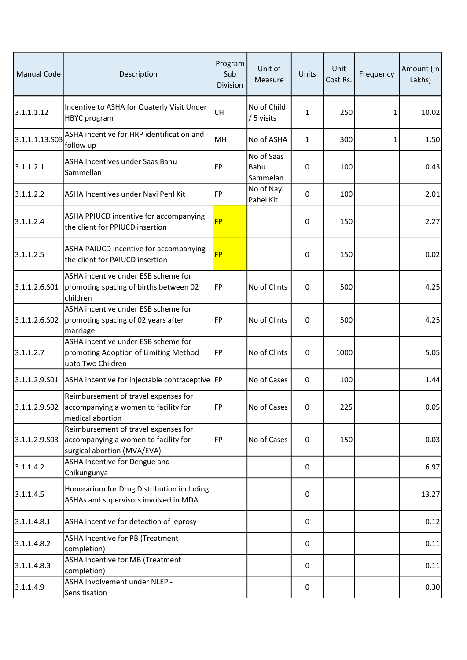| <b>Manual Code</b> | Description                                                                                                 | Program<br>Sub<br>Division | Unit of<br>Measure             | Units        | Unit<br>Cost Rs. | Frequency | Amount (In<br>Lakhs) |
|--------------------|-------------------------------------------------------------------------------------------------------------|----------------------------|--------------------------------|--------------|------------------|-----------|----------------------|
| 3.1.1.1.12         | Incentive to ASHA for Quaterly Visit Under<br>HBYC program                                                  | <b>CH</b>                  | No of Child<br>/ 5 visits      | 1            | 250              | 1         | 10.02                |
| 3.1.1.1.13.503     | ASHA incentive for HRP identification and<br>follow up                                                      | MH                         | No of ASHA                     | $\mathbf{1}$ | 300              | 1         | 1.50                 |
| 3.1.1.2.1          | ASHA Incentives under Saas Bahu<br>Sammellan                                                                | <b>FP</b>                  | No of Saas<br>Bahu<br>Sammelan | 0            | 100              |           | 0.43                 |
| 3.1.1.2.2          | ASHA Incentives under Nayi Pehl Kit                                                                         | <b>FP</b>                  | No of Nayi<br>Pahel Kit        | 0            | 100              |           | 2.01                 |
| 3.1.1.2.4          | ASHA PPIUCD incentive for accompanying<br>the client for PPIUCD insertion                                   | <b>FP</b>                  |                                | 0            | 150              |           | 2.27                 |
| 3.1.1.2.5          | ASHA PAIUCD incentive for accompanying<br>the client for PAIUCD insertion                                   | <b>FP</b>                  |                                | 0            | 150              |           | 0.02                 |
| 3.1.1.2.6.S01      | ASHA incentive under ESB scheme for<br>promoting spacing of births between 02<br>children                   | FP                         | No of Clints                   | 0            | 500              |           | 4.25                 |
| 3.1.1.2.6.502      | ASHA incentive under ESB scheme for<br>promoting spacing of 02 years after<br>marriage                      | <b>FP</b>                  | No of Clints                   | 0            | 500              |           | 4.25                 |
| 3.1.1.2.7          | ASHA incentive under ESB scheme for<br>promoting Adoption of Limiting Method<br>upto Two Children           | FP                         | No of Clints                   | 0            | 1000             |           | 5.05                 |
| 3.1.1.2.9.501      | ASHA incentive for injectable contraceptive FP                                                              |                            | No of Cases                    | 0            | 100              |           | 1.44                 |
| 3.1.1.2.9.502      | Reimbursement of travel expenses for<br>accompanying a women to facility for<br>medical abortion            | <b>FP</b>                  | No of Cases                    | 0            | 225              |           | 0.05                 |
| 3.1.1.2.9.503      | Reimbursement of travel expenses for<br>accompanying a women to facility for<br>surgical abortion (MVA/EVA) | <b>FP</b>                  | No of Cases                    | 0            | 150              |           | 0.03                 |
| 3.1.1.4.2          | ASHA Incentive for Dengue and<br>Chikungunya                                                                |                            |                                | 0            |                  |           | 6.97                 |
| 3.1.1.4.5          | Honorarium for Drug Distribution including<br>ASHAs and supervisors involved in MDA                         |                            |                                | 0            |                  |           | 13.27                |
| 3.1.1.4.8.1        | ASHA incentive for detection of leprosy                                                                     |                            |                                | 0            |                  |           | 0.12                 |
| 3.1.1.4.8.2        | ASHA Incentive for PB (Treatment<br>completion)                                                             |                            |                                | 0            |                  |           | 0.11                 |
| 3.1.1.4.8.3        | ASHA Incentive for MB (Treatment<br>completion)                                                             |                            |                                | 0            |                  |           | 0.11                 |
| 3.1.1.4.9          | ASHA Involvement under NLEP -<br>Sensitisation                                                              |                            |                                | 0            |                  |           | 0.30                 |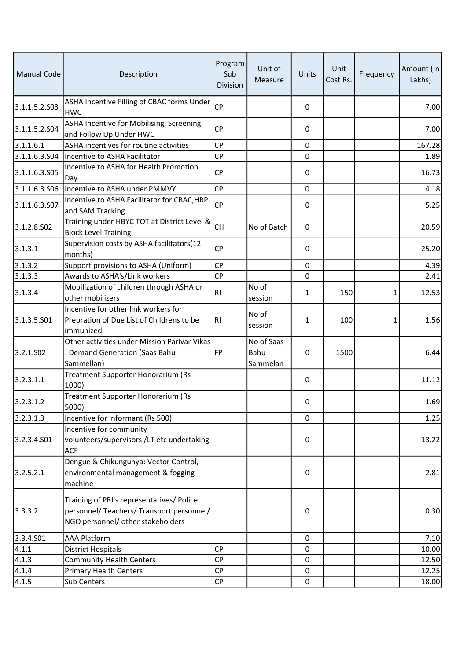| <b>Manual Code</b> | Description                                                                                                                 | Program<br>Sub<br>Division | Unit of<br>Measure             | Units       | Unit<br>Cost Rs. | Frequency | Amount (In<br>Lakhs) |
|--------------------|-----------------------------------------------------------------------------------------------------------------------------|----------------------------|--------------------------------|-------------|------------------|-----------|----------------------|
| 3.1.1.5.2.S03      | ASHA Incentive Filling of CBAC forms Under<br><b>HWC</b>                                                                    | <b>CP</b>                  |                                | 0           |                  |           | 7.00                 |
| 3.1.1.5.2.504      | ASHA Incentive for Mobilising, Screening<br>and Follow Up Under HWC                                                         | <b>CP</b>                  |                                | 0           |                  |           | 7.00                 |
| 3.1.1.6.1          | ASHA incentives for routine activities                                                                                      | <b>CP</b>                  |                                | $\mathbf 0$ |                  |           | 167.28               |
| 3.1.1.6.3.S04      | Incentive to ASHA Facilitator                                                                                               | <b>CP</b>                  |                                | 0           |                  |           | 1.89                 |
| 3.1.1.6.3.505      | Incentive to ASHA for Health Promotion<br>Day                                                                               | <b>CP</b>                  |                                | 0           |                  |           | 16.73                |
| 3.1.1.6.3.S06      | Incentive to ASHA under PMMVY                                                                                               | <b>CP</b>                  |                                | 0           |                  |           | 4.18                 |
| 3.1.1.6.3.S07      | Incentive to ASHA Facilitator for CBAC, HRP<br>and SAM Tracking                                                             | <b>CP</b>                  |                                | $\mathbf 0$ |                  |           | 5.25                 |
| 3.1.2.8.502        | Training under HBYC TOT at District Level &<br><b>Block Level Training</b>                                                  | <b>CH</b>                  | No of Batch                    | 0           |                  |           | 20.59                |
| 3.1.3.1            | Supervision costs by ASHA facilitators(12<br>months)                                                                        | <b>CP</b>                  |                                | 0           |                  |           | 25.20                |
| 3.1.3.2            | Support provisions to ASHA (Uniform)                                                                                        | <b>CP</b>                  |                                | $\mathbf 0$ |                  |           | 4.39                 |
| 3.1.3.3            | Awards to ASHA's/Link workers                                                                                               | CP                         |                                | $\mathbf 0$ |                  |           | 2.41                 |
| 3.1.3.4            | Mobilization of children through ASHA or<br>other mobilizers                                                                | R <sub>l</sub>             | No of<br>session               | 1           | 150              | 1         | 12.53                |
| 3.1.3.5.501        | Incentive for other link workers for<br>Prepration of Due List of Childrens to be<br>immunized                              | R <sub>l</sub>             | No of<br>session               | 1           | 100              | 1         | 1.56                 |
| 3.2.1.502          | Other activities under Mission Parivar Vikas<br>: Demand Generation (Saas Bahu<br>Sammellan)                                | FP                         | No of Saas<br>Bahu<br>Sammelan | 0           | 1500             |           | 6.44                 |
| 3.2.3.1.1          | Treatment Supporter Honorarium (Rs<br>1000)                                                                                 |                            |                                | 0           |                  |           | 11.12                |
| 3.2.3.1.2          | Treatment Supporter Honorarium (Rs<br>5000)                                                                                 |                            |                                | 0           |                  |           | 1.69                 |
| 3.2.3.1.3          | Incentive for informant (Rs 500)                                                                                            |                            |                                | $\Omega$    |                  |           | 1.25                 |
| 3.2.3.4.501        | Incentive for community<br>volunteers/supervisors /LT etc undertaking<br><b>ACF</b>                                         |                            |                                | 0           |                  |           | 13.22                |
| 3.2.5.2.1          | Dengue & Chikungunya: Vector Control,<br>environmental management & fogging<br>machine                                      |                            |                                | 0           |                  |           | 2.81                 |
| 3.3.3.2            | Training of PRI's representatives/ Police<br>personnel/ Teachers/ Transport personnel/<br>NGO personnel/ other stakeholders |                            |                                | 0           |                  |           | 0.30                 |
| 3.3.4.501          | <b>AAA Platform</b>                                                                                                         |                            |                                | $\mathbf 0$ |                  |           | 7.10                 |
| 4.1.1              | <b>District Hospitals</b>                                                                                                   | <b>CP</b>                  |                                | 0           |                  |           | 10.00                |
| 4.1.3              | <b>Community Health Centers</b>                                                                                             | <b>CP</b>                  |                                | 0           |                  |           | 12.50                |
| 4.1.4              | <b>Primary Health Centers</b>                                                                                               | <b>CP</b>                  |                                | 0           |                  |           | 12.25                |
| 4.1.5              | Sub Centers                                                                                                                 | CP                         |                                | 0           |                  |           | 18.00                |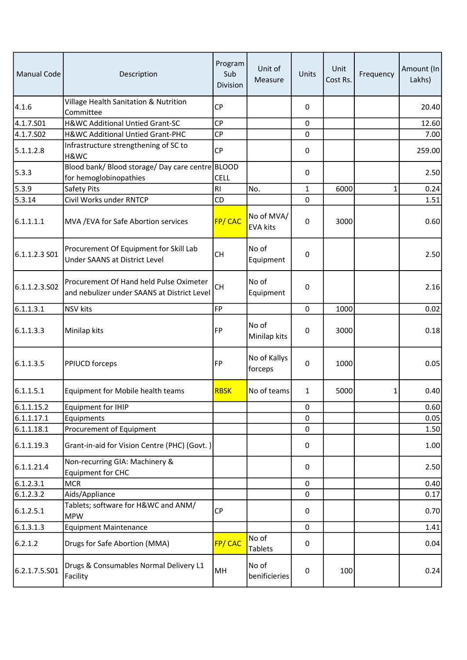| <b>Manual Code</b> | Description                                                                            | Program<br>Sub<br><b>Division</b> | Unit of<br>Measure            | Units       | Unit<br>Cost Rs. | Frequency | Amount (In<br>Lakhs) |
|--------------------|----------------------------------------------------------------------------------------|-----------------------------------|-------------------------------|-------------|------------------|-----------|----------------------|
| 4.1.6              | Village Health Sanitation & Nutrition<br>Committee                                     | <b>CP</b>                         |                               | 0           |                  |           | 20.40                |
| 4.1.7.S01          | H&WC Additional Untied Grant-SC                                                        | <b>CP</b>                         |                               | 0           |                  |           | 12.60                |
| 4.1.7.502          | H&WC Additional Untied Grant-PHC                                                       | <b>CP</b>                         |                               | 0           |                  |           | 7.00                 |
| 5.1.1.2.8          | Infrastructure strengthening of SC to<br>H&WC                                          | <b>CP</b>                         |                               | 0           |                  |           | 259.00               |
| 5.3.3              | Blood bank/ Blood storage/ Day care centre BLOOD<br>for hemoglobinopathies             | <b>CELL</b>                       |                               | 0           |                  |           | 2.50                 |
| 5.3.9              | Safety Pits                                                                            | R <sub>l</sub>                    | No.                           | $\mathbf 1$ | 6000             | 1         | 0.24                 |
| 5.3.14             | Civil Works under RNTCP                                                                | CD                                |                               | 0           |                  |           | 1.51                 |
| 6.1.1.1.1          | MVA / EVA for Safe Abortion services                                                   | FP/CAC                            | No of MVA/<br><b>EVA kits</b> | 0           | 3000             |           | 0.60                 |
| 6.1.1.2.3 S01      | Procurement Of Equipment for Skill Lab<br>Under SAANS at District Level                | <b>CH</b>                         | No of<br>Equipment            | 0           |                  |           | 2.50                 |
| 6.1.1.2.3.502      | Procurement Of Hand held Pulse Oximeter<br>and nebulizer under SAANS at District Level | CH                                | No of<br>Equipment            | 0           |                  |           | 2.16                 |
| 6.1.1.3.1          | <b>NSV kits</b>                                                                        | <b>FP</b>                         |                               | 0           | 1000             |           | 0.02                 |
| 6.1.1.3.3          | Minilap kits                                                                           | <b>FP</b>                         | No of<br>Minilap kits         | 0           | 3000             |           | 0.18                 |
| 6.1.1.3.5          | PPIUCD forceps                                                                         | <b>FP</b>                         | No of Kallys<br>forceps       | 0           | 1000             |           | 0.05                 |
| 6.1.1.5.1          | Equipment for Mobile health teams                                                      | <b>RBSK</b>                       | No of teams                   | 1           | 5000             | 1         | 0.40                 |
| 6.1.1.15.2         | Equipment for IHIP                                                                     |                                   |                               | 0           |                  |           | 0.60                 |
| 6.1.1.17.1         | Equipments                                                                             |                                   |                               | 0           |                  |           | 0.05                 |
| 6.1.1.18.1         | Procurement of Equipment                                                               |                                   |                               | 0           |                  |           | 1.50                 |
| 6.1.1.19.3         | Grant-in-aid for Vision Centre (PHC) (Govt.)                                           |                                   |                               | 0           |                  |           | 1.00                 |
| 6.1.1.21.4         | Non-recurring GIA: Machinery &<br><b>Equipment for CHC</b>                             |                                   |                               | 0           |                  |           | 2.50                 |
| 6.1.2.3.1          | <b>MCR</b>                                                                             |                                   |                               | 0           |                  |           | 0.40                 |
| 6.1.2.3.2          | Aids/Appliance                                                                         |                                   |                               | 0           |                  |           | 0.17                 |
| 6.1.2.5.1          | Tablets; software for H&WC and ANM/<br><b>MPW</b>                                      | <b>CP</b>                         |                               | 0           |                  |           | 0.70                 |
| 6.1.3.1.3          | <b>Equipment Maintenance</b>                                                           |                                   |                               | 0           |                  |           | 1.41                 |
| 6.2.1.2            | Drugs for Safe Abortion (MMA)                                                          | FP/CAC                            | No of<br>Tablets              | 0           |                  |           | 0.04                 |
| 6.2.1.7.5.501      | Drugs & Consumables Normal Delivery L1<br>Facility                                     | MH                                | No of<br>benificieries        | 0           | 100              |           | 0.24                 |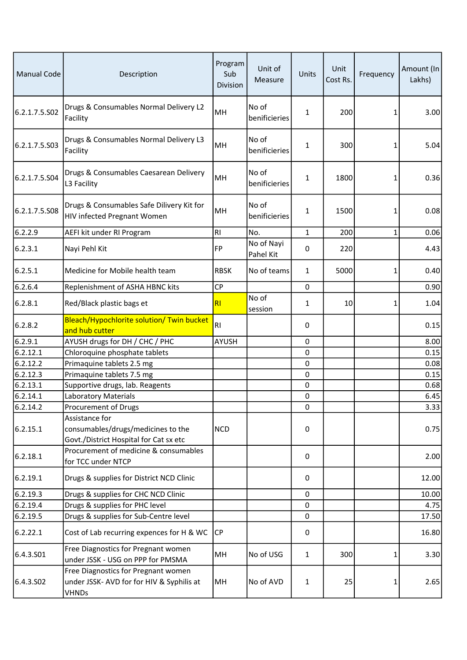| <b>Manual Code</b> | Description                                                                                      | Program<br>Sub<br>Division | Unit of<br>Measure      | Units        | Unit<br>Cost Rs. | Frequency | Amount (In<br>Lakhs) |
|--------------------|--------------------------------------------------------------------------------------------------|----------------------------|-------------------------|--------------|------------------|-----------|----------------------|
| 6.2.1.7.5.S02      | Drugs & Consumables Normal Delivery L2<br>Facility                                               | MH                         | No of<br>benificieries  | 1            | 200              | 1         | 3.00                 |
| 6.2.1.7.5.S03      | Drugs & Consumables Normal Delivery L3<br>Facility                                               | MH                         | No of<br>benificieries  | 1            | 300              | 1         | 5.04                 |
| 6.2.1.7.5.S04      | Drugs & Consumables Caesarean Delivery<br>L3 Facility                                            | MH                         | No of<br>benificieries  | 1            | 1800             | 1         | 0.36                 |
| 6.2.1.7.5.S08      | Drugs & Consumables Safe Dilivery Kit for<br>HIV infected Pregnant Women                         | MH                         | No of<br>benificieries  | 1            | 1500             | 1         | 0.08                 |
| 6.2.2.9            | AEFI kit under RI Program                                                                        | R <sub>l</sub>             | No.                     | $\mathbf{1}$ | 200              | 1         | 0.06                 |
| 6.2.3.1            | Nayi Pehl Kit                                                                                    | FP                         | No of Nayi<br>Pahel Kit | 0            | 220              |           | 4.43                 |
| 6.2.5.1            | Medicine for Mobile health team                                                                  | <b>RBSK</b>                | No of teams             | 1            | 5000             | 1         | 0.40                 |
| 6.2.6.4            | Replenishment of ASHA HBNC kits                                                                  | CP                         |                         | $\mathbf 0$  |                  |           | 0.90                 |
| 6.2.8.1            | Red/Black plastic bags et                                                                        | R <sub>l</sub>             | No of<br>session        | 1            | 10               | 1         | 1.04                 |
| 6.2.8.2            | Bleach/Hypochlorite solution/ Twin bucket<br>and hub cutter                                      | R <sub>l</sub>             |                         | 0            |                  |           | 0.15                 |
| 6.2.9.1            | AYUSH drugs for DH / CHC / PHC                                                                   | <b>AYUSH</b>               |                         | $\mathbf 0$  |                  |           | 8.00                 |
| 6.2.12.1           | Chloroquine phosphate tablets                                                                    |                            |                         | $\mathbf 0$  |                  |           | 0.15                 |
| 6.2.12.2           | Primaquine tablets 2.5 mg                                                                        |                            |                         | 0            |                  |           | 0.08                 |
| 6.2.12.3           | Primaquine tablets 7.5 mg                                                                        |                            |                         | 0            |                  |           | 0.15                 |
| 6.2.13.1           | Supportive drugs, lab. Reagents                                                                  |                            |                         | 0            |                  |           | 0.68                 |
| 6.2.14.1           | Laboratory Materials                                                                             |                            |                         | 0            |                  |           | 6.45                 |
| 6.2.14.2           | Procurement of Drugs                                                                             |                            |                         | 0            |                  |           | 3.33                 |
| 6.2.15.1           | Assistance for<br>consumables/drugs/medicines to the<br>Govt./District Hospital for Cat sx etc   | <b>NCD</b>                 |                         | 0            |                  |           | 0.75                 |
| 6.2.18.1           | Procurement of medicine & consumables<br>for TCC under NTCP                                      |                            |                         | 0            |                  |           | 2.00                 |
| 6.2.19.1           | Drugs & supplies for District NCD Clinic                                                         |                            |                         | 0            |                  |           | 12.00                |
| 6.2.19.3           | Drugs & supplies for CHC NCD Clinic                                                              |                            |                         | 0            |                  |           | 10.00                |
| 6.2.19.4           | Drugs & supplies for PHC level                                                                   |                            |                         | 0            |                  |           | 4.75                 |
| 6.2.19.5           | Drugs & supplies for Sub-Centre level                                                            |                            |                         | 0            |                  |           | 17.50                |
| 6.2.22.1           | Cost of Lab recurring expences for H & WC                                                        | <b>CP</b>                  |                         | 0            |                  |           | 16.80                |
| 6.4.3.S01          | Free Diagnostics for Pregnant women<br>under JSSK - USG on PPP for PMSMA                         | MH                         | No of USG               | $\mathbf{1}$ | 300              | 1         | 3.30                 |
| 6.4.3.502          | Free Diagnostics for Pregnant women<br>under JSSK- AVD for for HIV & Syphilis at<br><b>VHNDs</b> | MH                         | No of AVD               | 1            | 25               | 1         | 2.65                 |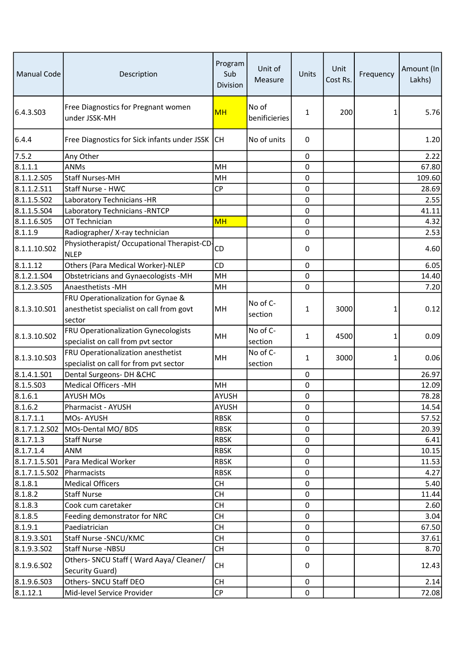| <b>Manual Code</b>         | Description                                                                | Program<br>Sub<br>Division  | Unit of<br>Measure     | Units       | Unit<br>Cost Rs. | Frequency | Amount (In<br>Lakhs) |
|----------------------------|----------------------------------------------------------------------------|-----------------------------|------------------------|-------------|------------------|-----------|----------------------|
| 6.4.3.S03                  | Free Diagnostics for Pregnant women<br>under JSSK-MH                       | MH                          | No of<br>benificieries | 1           | 200              | 1         | 5.76                 |
| 6.4.4                      | Free Diagnostics for Sick infants under JSSK                               | <b>CH</b>                   | No of units            | 0           |                  |           | 1.20                 |
| 7.5.2                      | Any Other                                                                  |                             |                        | 0           |                  |           | 2.22                 |
| 8.1.1.1                    | <b>ANMs</b>                                                                | MH                          |                        | $\mathbf 0$ |                  |           | 67.80                |
| 8.1.1.2.505                | <b>Staff Nurses-MH</b>                                                     | MH                          |                        | 0           |                  |           | 109.60               |
| 8.1.1.2.S11                | Staff Nurse - HWC                                                          | <b>CP</b>                   |                        | 0           |                  |           | 28.69                |
| 8.1.1.5.502                | Laboratory Technicians - HR                                                |                             |                        | 0           |                  |           | 2.55                 |
| 8.1.1.5.504                | Laboratory Technicians - RNTCP                                             |                             |                        | 0           |                  |           | 41.11                |
| 8.1.1.6.S05                | OT Technician                                                              | <b>MH</b>                   |                        | 0           |                  |           | 4.32                 |
| 8.1.1.9                    | Radiographer/X-ray technician                                              |                             |                        | 0           |                  |           | 2.53                 |
| 8.1.1.10.502               | Physiotherapist/ Occupational Therapist-CD-<br><b>NLEP</b>                 | CD                          |                        | 0           |                  |           | 4.60                 |
| 8.1.1.12                   | Others (Para Medical Worker)-NLEP                                          | CD                          |                        | 0           |                  |           | 6.05                 |
| 8.1.2.1.504                | Obstetricians and Gynaecologists -MH                                       | MH                          |                        | 0           |                  |           | 14.40                |
| 8.1.2.3.S05                | <b>Anaesthetists -MH</b>                                                   | MH                          |                        | 0           |                  |           | 7.20                 |
|                            | FRU Operationalization for Gynae &                                         |                             | No of C-               |             |                  |           |                      |
| 8.1.3.10.S01               | anesthetist specialist on call from govt<br>sector                         | MH                          | section                | 1           | 3000             | 1         | 0.12                 |
| 8.1.3.10.S02               | FRU Operationalization Gynecologists<br>specialist on call from pvt sector | MH                          | No of C-<br>section    | 1           | 4500             | 1         | 0.09                 |
| 8.1.3.10.503               | FRU Operationalization anesthetist                                         | MH                          | No of C-<br>section    | 1           | 3000             | 1         | 0.06                 |
| 8.1.4.1.501                | specialist on call for from pvt sector<br>Dental Surgeons- DH & CHC        |                             |                        | 0           |                  |           | 26.97                |
| 8.1.5.503                  | <b>Medical Officers -MH</b>                                                | MH                          |                        | 0           |                  |           | 12.09                |
|                            |                                                                            |                             |                        |             |                  |           |                      |
| 8.1.6.1                    | <b>AYUSH MOs</b>                                                           | <b>AYUSH</b>                |                        | 0           |                  |           | 78.28                |
| 8.1.6.2                    | Pharmacist - AYUSH<br>MOs-AYUSH                                            | <b>AYUSH</b><br><b>RBSK</b> |                        | 0<br>0      |                  |           | 14.54                |
| 8.1.7.1.1                  |                                                                            | <b>RBSK</b>                 |                        | 0           |                  |           | 57.52                |
| 8.1.7.1.2.502<br>8.1.7.1.3 | MOs-Dental MO/ BDS<br><b>Staff Nurse</b>                                   | <b>RBSK</b>                 |                        | 0           |                  |           | 20.39<br>6.41        |
|                            | ANM                                                                        | <b>RBSK</b>                 |                        | 0           |                  |           | 10.15                |
| 8.1.7.1.4<br>8.1.7.1.5.S01 | Para Medical Worker                                                        | <b>RBSK</b>                 |                        | 0           |                  |           | 11.53                |
| 8.1.7.1.5.502              | Pharmacists                                                                | <b>RBSK</b>                 |                        | 0           |                  |           | 4.27                 |
| 8.1.8.1                    | <b>Medical Officers</b>                                                    | <b>CH</b>                   |                        | 0           |                  |           | 5.40                 |
| 8.1.8.2                    | <b>Staff Nurse</b>                                                         | <b>CH</b>                   |                        | 0           |                  |           | 11.44                |
| 8.1.8.3                    | Cook cum caretaker                                                         | <b>CH</b>                   |                        | 0           |                  |           | 2.60                 |
| 8.1.8.5                    | Feeding demonstrator for NRC                                               | <b>CH</b>                   |                        | 0           |                  |           | 3.04                 |
| 8.1.9.1                    | Paediatrician                                                              | <b>CH</b>                   |                        | 0           |                  |           | 67.50                |
| 8.1.9.3.501                | Staff Nurse - SNCU/KMC                                                     | <b>CH</b>                   |                        | 0           |                  |           | 37.61                |
| 8.1.9.3.502                | Staff Nurse -NBSU                                                          | <b>CH</b>                   |                        | 0           |                  |           | 8.70                 |
|                            | Others- SNCU Staff (Ward Aaya/ Cleaner/                                    |                             |                        |             |                  |           |                      |
| 8.1.9.6.502                | Security Guard)                                                            | <b>CH</b>                   |                        | 0           |                  |           | 12.43                |
| 8.1.9.6.503                | Others- SNCU Staff DEO                                                     | <b>CH</b>                   |                        | $\Omega$    |                  |           | 2.14                 |
| 8.1.12.1                   | Mid-level Service Provider                                                 | CP                          |                        | $\mathbf 0$ |                  |           | 72.08                |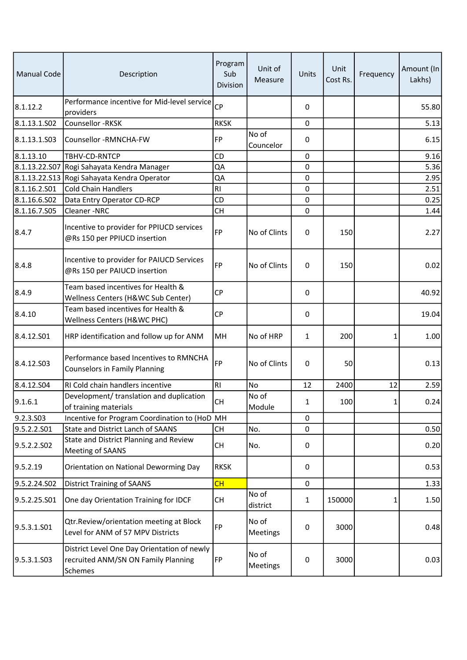| <b>Manual Code</b> | Description                                                                                   | Program<br>Sub<br>Division | Unit of<br>Measure | Units       | Unit<br>Cost Rs. | Frequency    | Amount (In<br>Lakhs) |
|--------------------|-----------------------------------------------------------------------------------------------|----------------------------|--------------------|-------------|------------------|--------------|----------------------|
| 8.1.12.2           | Performance incentive for Mid-level service<br>providers                                      | <b>CP</b>                  |                    | $\mathbf 0$ |                  |              | 55.80                |
| 8.1.13.1.S02       | Counsellor -RKSK                                                                              | <b>RKSK</b>                |                    | 0           |                  |              | 5.13                 |
| 8.1.13.1.S03       | Counsellor -RMNCHA-FW                                                                         | FP                         | No of<br>Councelor | 0           |                  |              | 6.15                 |
| 8.1.13.10          | TBHV-CD-RNTCP                                                                                 | CD                         |                    | 0           |                  |              | 9.16                 |
| 8.1.13.22.S07      | Rogi Sahayata Kendra Manager                                                                  | QA                         |                    | 0           |                  |              | 5.36                 |
| 8.1.13.22.S13      | Rogi Sahayata Kendra Operator                                                                 | QA                         |                    | 0           |                  |              | 2.95                 |
| 8.1.16.2.S01       | <b>Cold Chain Handlers</b>                                                                    | R <sub>l</sub>             |                    | 0           |                  |              | 2.51                 |
| 8.1.16.6.S02       | Data Entry Operator CD-RCP                                                                    | CD                         |                    | $\mathbf 0$ |                  |              | 0.25                 |
| 8.1.16.7.S05       | Cleaner-NRC                                                                                   | <b>CH</b>                  |                    | 0           |                  |              | 1.44                 |
| 8.4.7              | Incentive to provider for PPIUCD services<br>@Rs 150 per PPIUCD insertion                     | <b>FP</b>                  | No of Clints       | 0           | 150              |              | 2.27                 |
| 8.4.8              | Incentive to provider for PAIUCD Services<br>@Rs 150 per PAIUCD insertion                     | <b>FP</b>                  | No of Clints       | 0           | 150              |              | 0.02                 |
| 8.4.9              | Team based incentives for Health &<br>Wellness Centers (H&WC Sub Center)                      | <b>CP</b>                  |                    | 0           |                  |              | 40.92                |
| 8.4.10             | Team based incentives for Health &<br>Wellness Centers (H&WC PHC)                             | <b>CP</b>                  |                    | 0           |                  |              | 19.04                |
| 8.4.12.501         | HRP identification and follow up for ANM                                                      | MH                         | No of HRP          | 1           | 200              | 1            | 1.00                 |
| 8.4.12.503         | Performance based Incentives to RMNCHA<br><b>Counselors in Family Planning</b>                | <b>FP</b>                  | No of Clints       | 0           | 50               |              | 0.13                 |
| 8.4.12.504         | RI Cold chain handlers incentive                                                              | RI                         | No                 | 12          | 2400             | 12           | 2.59                 |
| 9.1.6.1            | Development/ translation and duplication<br>of training materials                             | CH                         | No of<br>Module    | 1           | 100              | $\mathbf{1}$ | 0.24                 |
| 9.2.3.S03          | Incentive for Program Coordination to (HoD MH                                                 |                            |                    | $\mathbf 0$ |                  |              |                      |
| 9.5.2.2.S01        | State and District Lanch of SAANS                                                             | <b>CH</b>                  | No.                | 0           |                  |              | 0.50                 |
| 9.5.2.2.502        | State and District Planning and Review<br>Meeting of SAANS                                    | <b>CH</b>                  | No.                | 0           |                  |              | 0.20                 |
| 9.5.2.19           | Orientation on National Deworming Day                                                         | <b>RKSK</b>                |                    | 0           |                  |              | 0.53                 |
| 9.5.2.24.SO2       | <b>District Training of SAANS</b>                                                             | CH                         |                    | $\mathbf 0$ |                  |              | 1.33                 |
| 9.5.2.25.S01       | One day Orientation Training for IDCF                                                         | <b>CH</b>                  | No of<br>district  | 1           | 150000           | 1            | 1.50                 |
| 9.5.3.1.501        | Qtr.Review/orientation meeting at Block<br>Level for ANM of 57 MPV Districts                  | FP                         | No of<br>Meetings  | 0           | 3000             |              | 0.48                 |
| 9.5.3.1.S03        | District Level One Day Orientation of newly<br>recruited ANM/SN ON Family Planning<br>Schemes | FP                         | No of<br>Meetings  | 0           | 3000             |              | 0.03                 |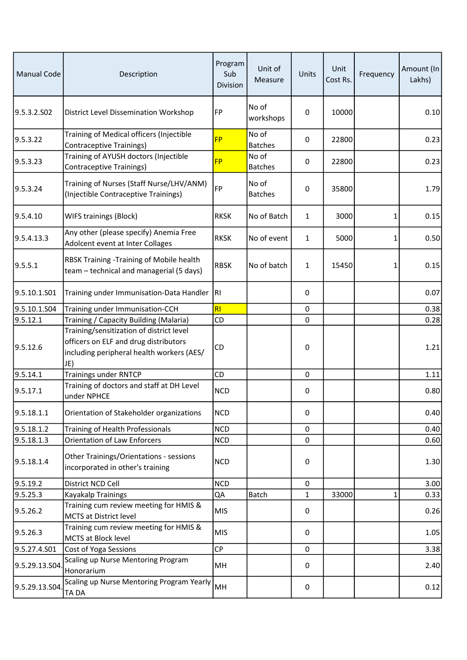| <b>Manual Code</b> | Description                                                                                                                           | Program<br>Sub<br>Division | Unit of<br>Measure      | Units        | Unit<br>Cost Rs. | Frequency | Amount (In<br>Lakhs) |
|--------------------|---------------------------------------------------------------------------------------------------------------------------------------|----------------------------|-------------------------|--------------|------------------|-----------|----------------------|
| 9.5.3.2.502        | District Level Dissemination Workshop                                                                                                 | FP                         | No of<br>workshops      | $\mathbf 0$  | 10000            |           | 0.10                 |
| 9.5.3.22           | Training of Medical officers (Injectible<br>Contraceptive Trainings)                                                                  | <b>FP</b>                  | No of<br><b>Batches</b> | $\mathbf 0$  | 22800            |           | 0.23                 |
| 9.5.3.23           | Training of AYUSH doctors (Injectible<br><b>Contraceptive Trainings)</b>                                                              | <b>FP</b>                  | No of<br><b>Batches</b> | 0            | 22800            |           | 0.23                 |
| 9.5.3.24           | Training of Nurses (Staff Nurse/LHV/ANM)<br>(Injectible Contraceptive Trainings)                                                      | FP                         | No of<br><b>Batches</b> | 0            | 35800            |           | 1.79                 |
| 9.5.4.10           | <b>WIFS trainings (Block)</b>                                                                                                         | <b>RKSK</b>                | No of Batch             | $\mathbf{1}$ | 3000             | 1         | 0.15                 |
| 9.5.4.13.3         | Any other (please specify) Anemia Free<br>Adolcent event at Inter Collages                                                            | <b>RKSK</b>                | No of event             | $\mathbf{1}$ | 5000             | 1         | 0.50                 |
| 9.5.5.1            | RBSK Training -Training of Mobile health<br>team - technical and managerial (5 days)                                                  | <b>RBSK</b>                | No of batch             | 1            | 15450            | 1         | 0.15                 |
| 9.5.10.1.S01       | Training under Immunisation-Data Handler                                                                                              | RI.                        |                         | 0            |                  |           | 0.07                 |
| 9.5.10.1.S04       | Training under Immunisation-CCH                                                                                                       | RI                         |                         | $\mathbf 0$  |                  |           | 0.38                 |
| 9.5.12.1           | Training / Capacity Building (Malaria)                                                                                                | CD                         |                         | $\mathbf 0$  |                  |           | 0.28                 |
| 9.5.12.6           | Training/sensitization of district level<br>officers on ELF and drug distributors<br>including peripheral health workers (AES/<br>JE) | CD                         |                         | 0            |                  |           | 1.21                 |
| 9.5.14.1           | <b>Trainings under RNTCP</b>                                                                                                          | CD                         |                         | $\mathbf 0$  |                  |           | 1.11                 |
| 9.5.17.1           | Training of doctors and staff at DH Level<br>under NPHCE                                                                              | <b>NCD</b>                 |                         | 0            |                  |           | 0.80                 |
| 9.5.18.1.1         | Orientation of Stakeholder organizations                                                                                              | <b>NCD</b>                 |                         | 0            |                  |           | 0.40                 |
| 9.5.18.1.2         | Training of Health Professionals                                                                                                      | <b>NCD</b>                 |                         | 0            |                  |           | 0.40                 |
| 9.5.18.1.3         | <b>Orientation of Law Enforcers</b>                                                                                                   | <b>NCD</b>                 |                         | 0            |                  |           | 0.60                 |
| 9.5.18.1.4         | Other Trainings/Orientations - sessions<br>incorporated in other's training                                                           | <b>NCD</b>                 |                         | 0            |                  |           | 1.30                 |
| 9.5.19.2           | District NCD Cell                                                                                                                     | <b>NCD</b>                 |                         | 0            |                  |           | 3.00                 |
| 9.5.25.3           | Kayakalp Trainings                                                                                                                    | QA                         | <b>Batch</b>            | 1            | 33000            | 1         | 0.33                 |
| 9.5.26.2           | Training cum review meeting for HMIS &<br><b>MCTS at District level</b>                                                               | <b>MIS</b>                 |                         | 0            |                  |           | 0.26                 |
| 9.5.26.3           | Training cum review meeting for HMIS &<br>MCTS at Block level                                                                         | <b>MIS</b>                 |                         | 0            |                  |           | 1.05                 |
| 9.5.27.4.S01       | Cost of Yoga Sessions                                                                                                                 | <b>CP</b>                  |                         | 0            |                  |           | 3.38                 |
| 9.5.29.13.S04      | Scaling up Nurse Mentoring Program<br>Honorarium                                                                                      | MH                         |                         | 0            |                  |           | 2.40                 |
| 9.5.29.13.S04.     | Scaling up Nurse Mentoring Program Yearly<br>TA DA                                                                                    | MH                         |                         | 0            |                  |           | 0.12                 |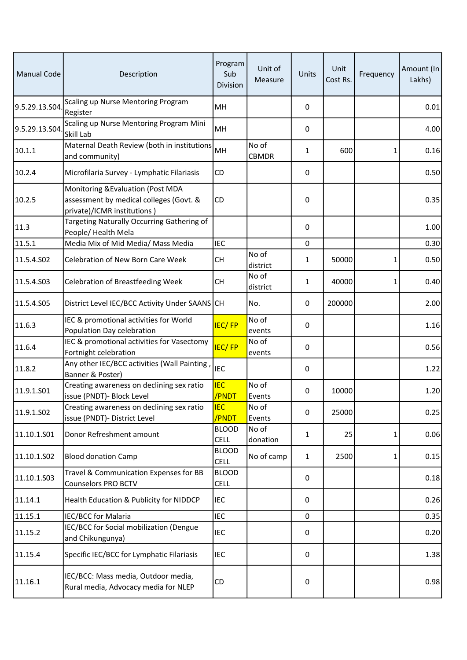| <b>Manual Code</b> | Description                                                                                                 | Program<br>Sub<br>Division  | Unit of<br>Measure    | Units        | Unit<br>Cost Rs. | Frequency | Amount (In<br>Lakhs) |
|--------------------|-------------------------------------------------------------------------------------------------------------|-----------------------------|-----------------------|--------------|------------------|-----------|----------------------|
| 9.5.29.13.S04      | Scaling up Nurse Mentoring Program<br>Register                                                              | MH                          |                       | 0            |                  |           | 0.01                 |
| 9.5.29.13.S04      | Scaling up Nurse Mentoring Program Mini<br>Skill Lab                                                        | MH                          |                       | 0            |                  |           | 4.00                 |
| 10.1.1             | Maternal Death Review (both in institutions<br>and community)                                               | MH                          | No of<br><b>CBMDR</b> | 1            | 600              | 1         | 0.16                 |
| 10.2.4             | Microfilaria Survey - Lymphatic Filariasis                                                                  | <b>CD</b>                   |                       | 0            |                  |           | 0.50                 |
| 10.2.5             | Monitoring & Evaluation (Post MDA<br>assessment by medical colleges (Govt. &<br>private)/ICMR institutions) | CD                          |                       | 0            |                  |           | 0.35                 |
| 11.3               | Targeting Naturally Occurring Gathering of<br>People/ Health Mela                                           |                             |                       | 0            |                  |           | 1.00                 |
| 11.5.1             | Media Mix of Mid Media/ Mass Media                                                                          | <b>IEC</b>                  |                       | $\mathbf 0$  |                  |           | 0.30                 |
| 11.5.4.S02         | Celebration of New Born Care Week                                                                           | <b>CH</b>                   | No of<br>district     | 1            | 50000            | 1         | 0.50                 |
| 11.5.4.S03         | <b>Celebration of Breastfeeding Week</b>                                                                    | <b>CH</b>                   | No of<br>district     | $\mathbf{1}$ | 40000            | 1         | 0.40                 |
| 11.5.4.S05         | District Level IEC/BCC Activity Under SAANS CH                                                              |                             | No.                   | 0            | 200000           |           | 2.00                 |
| 11.6.3             | IEC & promotional activities for World<br>Population Day celebration                                        | <b>IEC/FP</b>               | No of<br>events       | 0            |                  |           | 1.16                 |
| 11.6.4             | IEC & promotional activities for Vasectomy<br>Fortnight celebration                                         | <b>IEC/FP</b>               | No of<br>events       | 0            |                  |           | 0.56                 |
| 11.8.2             | Any other IEC/BCC activities (Wall Painting,<br>Banner & Poster)                                            | <b>IEC</b>                  |                       | 0            |                  |           | 1.22                 |
| 11.9.1.S01         | Creating awareness on declining sex ratio<br>issue (PNDT)- Block Level                                      | <b>IEC</b><br>/PNDT         | No of<br>Events       | 0            | 10000            |           | 1.20                 |
| 11.9.1.S02         | Creating awareness on declining sex ratio<br>issue (PNDT)- District Level                                   | <b>IEC</b><br>/PNDT         | No of<br>Events       | 0            | 25000            |           | 0.25                 |
| 11.10.1.S01        | Donor Refreshment amount                                                                                    | <b>BLOOD</b><br><b>CELL</b> | No of<br>donation     | 1            | 25               | 1         | 0.06                 |
| 11.10.1.S02        | <b>Blood donation Camp</b>                                                                                  | <b>BLOOD</b><br><b>CELL</b> | No of camp            | $\mathbf{1}$ | 2500             | 1         | 0.15                 |
| 11.10.1.S03        | Travel & Communication Expenses for BB<br><b>Counselors PRO BCTV</b>                                        | <b>BLOOD</b><br><b>CELL</b> |                       | 0            |                  |           | 0.18                 |
| 11.14.1            | Health Education & Publicity for NIDDCP                                                                     | IEC                         |                       | 0            |                  |           | 0.26                 |
| 11.15.1            | IEC/BCC for Malaria                                                                                         | <b>IEC</b>                  |                       | $\mathbf 0$  |                  |           | 0.35                 |
| 11.15.2            | IEC/BCC for Social mobilization (Dengue<br>and Chikungunya)                                                 | <b>IEC</b>                  |                       | 0            |                  |           | 0.20                 |
| 11.15.4            | Specific IEC/BCC for Lymphatic Filariasis                                                                   | <b>IEC</b>                  |                       | 0            |                  |           | 1.38                 |
| 11.16.1            | IEC/BCC: Mass media, Outdoor media,<br>Rural media, Advocacy media for NLEP                                 | CD                          |                       | 0            |                  |           | 0.98                 |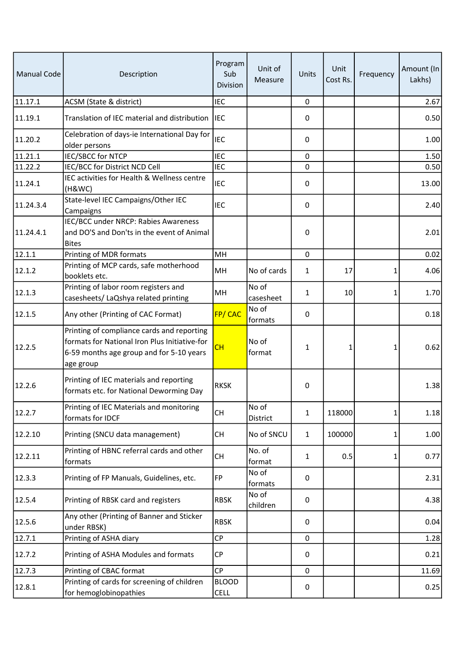| <b>Manual Code</b> | Description                                                                                                                                          | Program<br>Sub<br><b>Division</b> | Unit of<br>Measure | Units        | Unit<br>Cost Rs. | Frequency | Amount (In<br>Lakhs) |
|--------------------|------------------------------------------------------------------------------------------------------------------------------------------------------|-----------------------------------|--------------------|--------------|------------------|-----------|----------------------|
| 11.17.1            | ACSM (State & district)                                                                                                                              | <b>IEC</b>                        |                    | $\mathbf 0$  |                  |           | 2.67                 |
| 11.19.1            | Translation of IEC material and distribution                                                                                                         | <b>IEC</b>                        |                    | 0            |                  |           | 0.50                 |
| 11.20.2            | Celebration of days-ie International Day for<br>older persons                                                                                        | <b>IEC</b>                        |                    | 0            |                  |           | 1.00                 |
| 11.21.1            | <b>IEC/SBCC for NTCP</b>                                                                                                                             | <b>IEC</b>                        |                    | 0            |                  |           | 1.50                 |
| 11.22.2            | IEC/BCC for District NCD Cell                                                                                                                        | <b>IEC</b>                        |                    | 0            |                  |           | 0.50                 |
| 11.24.1            | IEC activities for Health & Wellness centre<br>(H&WC)                                                                                                | <b>IEC</b>                        |                    | 0            |                  |           | 13.00                |
| 11.24.3.4          | State-level IEC Campaigns/Other IEC<br>Campaigns                                                                                                     | <b>IEC</b>                        |                    | 0            |                  |           | 2.40                 |
| 11.24.4.1          | IEC/BCC under NRCP: Rabies Awareness<br>and DO'S and Don'ts in the event of Animal<br><b>Bites</b>                                                   |                                   |                    | 0            |                  |           | 2.01                 |
| 12.1.1             | Printing of MDR formats                                                                                                                              | MH                                |                    | $\Omega$     |                  |           | 0.02                 |
| 12.1.2             | Printing of MCP cards, safe motherhood<br>booklets etc.                                                                                              | MH                                | No of cards        | 1            | 17               | 1         | 4.06                 |
| 12.1.3             | Printing of labor room registers and<br>casesheets/ LaQshya related printing                                                                         | MH                                | No of<br>casesheet | 1            | 10               | 1         | 1.70                 |
| 12.1.5             | Any other (Printing of CAC Format)                                                                                                                   | FP/CAC                            | No of<br>formats   | 0            |                  |           | 0.18                 |
| 12.2.5             | Printing of compliance cards and reporting<br>formats for National Iron Plus Initiative-for<br>6-59 months age group and for 5-10 years<br>age group | CH                                | No of<br>format    | 1            | 1                | 1         | 0.62                 |
| 12.2.6             | Printing of IEC materials and reporting<br>formats etc. for National Deworming Day                                                                   | <b>RKSK</b>                       |                    | 0            |                  |           | 1.38                 |
| 12.2.7             | Printing of IEC Materials and monitoring<br>formats for IDCF                                                                                         | <b>CH</b>                         | No of<br>District  | 1            | 118000           | 1         | 1.18                 |
| 12.2.10            | Printing (SNCU data management)                                                                                                                      | <b>CH</b>                         | No of SNCU         | $\mathbf{1}$ | 100000           | 1         | 1.00                 |
| 12.2.11            | Printing of HBNC referral cards and other<br>formats                                                                                                 | <b>CH</b>                         | No. of<br>format   | 1            | 0.5              | 1         | 0.77                 |
| 12.3.3             | Printing of FP Manuals, Guidelines, etc.                                                                                                             | <b>FP</b>                         | No of<br>formats   | 0            |                  |           | 2.31                 |
| 12.5.4             | Printing of RBSK card and registers                                                                                                                  | <b>RBSK</b>                       | No of<br>children  | 0            |                  |           | 4.38                 |
| 12.5.6             | Any other (Printing of Banner and Sticker<br>under RBSK)                                                                                             | <b>RBSK</b>                       |                    | 0            |                  |           | 0.04                 |
| 12.7.1             | Printing of ASHA diary                                                                                                                               | CP                                |                    | 0            |                  |           | 1.28                 |
| 12.7.2             | Printing of ASHA Modules and formats                                                                                                                 | <b>CP</b>                         |                    | 0            |                  |           | 0.21                 |
| 12.7.3             | Printing of CBAC format                                                                                                                              | <b>CP</b>                         |                    | 0            |                  |           | 11.69                |
| 12.8.1             | Printing of cards for screening of children<br>for hemoglobinopathies                                                                                | <b>BLOOD</b><br><b>CELL</b>       |                    | 0            |                  |           | 0.25                 |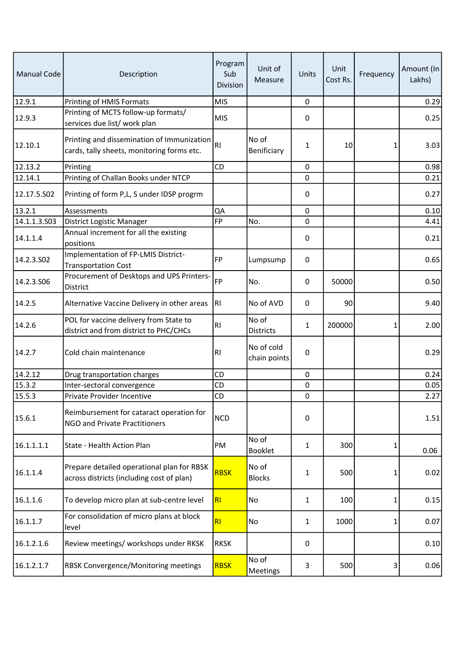| <b>Manual Code</b> | Description                                                                              | Program<br>Sub<br>Division | Unit of<br>Measure         | Units        | Unit<br>Cost Rs. | Frequency | Amount (In<br>Lakhs) |
|--------------------|------------------------------------------------------------------------------------------|----------------------------|----------------------------|--------------|------------------|-----------|----------------------|
| 12.9.1             | Printing of HMIS Formats                                                                 | <b>MIS</b>                 |                            | 0            |                  |           | 0.29                 |
| 12.9.3             | Printing of MCTS follow-up formats/<br>services due list/ work plan                      | <b>MIS</b>                 |                            | 0            |                  |           | 0.25                 |
| 12.10.1            | Printing and dissemination of Immunization<br>cards, tally sheets, monitoring forms etc. | <b>RI</b>                  | No of<br>Benificiary       | 1            | 10               | 1         | 3.03                 |
| 12.13.2            | Printing                                                                                 | CD                         |                            | 0            |                  |           | 0.98                 |
| 12.14.1            | Printing of Challan Books under NTCP                                                     |                            |                            | 0            |                  |           | 0.21                 |
| 12.17.5.502        | Printing of form P,L, S under IDSP progrm                                                |                            |                            | 0            |                  |           | 0.27                 |
| 13.2.1             | Assessments                                                                              | QA                         |                            | 0            |                  |           | 0.10                 |
| 14.1.1.3.503       | District Logistic Manager                                                                | <b>FP</b>                  | No.                        | 0            |                  |           | 4.41                 |
| 14.1.1.4           | Annual increment for all the existing<br>positions                                       |                            |                            | 0            |                  |           | 0.21                 |
| 14.2.3.S02         | Implementation of FP-LMIS District-<br><b>Transportation Cost</b>                        | <b>FP</b>                  | Lumpsump                   | 0            |                  |           | 0.65                 |
| 14.2.3.S06         | Procurement of Desktops and UPS Printers-<br>District                                    | <b>FP</b>                  | No.                        | 0            | 50000            |           | 0.50                 |
| 14.2.5             | Alternative Vaccine Delivery in other areas                                              | <b>RI</b>                  | No of AVD                  | 0            | 90               |           | 9.40                 |
| 14.2.6             | POL for vaccine delivery from State to<br>district and from district to PHC/CHCs         | R <sub>l</sub>             | No of<br>Districts         | 1            | 200000           | 1         | 2.00                 |
| 14.2.7             | Cold chain maintenance                                                                   | R <sub>1</sub>             | No of cold<br>chain points | 0            |                  |           | 0.29                 |
| 14.2.12            | Drug transportation charges                                                              | <b>CD</b>                  |                            | 0            |                  |           | 0.24                 |
| 15.3.2             | Inter-sectoral convergence                                                               | CD                         |                            | 0            |                  |           | 0.05                 |
| 15.5.3             | Private Provider Incentive                                                               | CD                         |                            | 0            |                  |           | 2.27                 |
| 15.6.1             | Reimbursement for cataract operation for<br>NGO and Private Practitioners                | <b>NCD</b>                 |                            | 0            |                  |           | 1.51                 |
| 16.1.1.1.1         | State - Health Action Plan                                                               | PM                         | No of<br>Booklet           | $\mathbf{1}$ | 300              | 1         | 0.06                 |
| 16.1.1.4           | Prepare detailed operational plan for RBSK<br>across districts (including cost of plan)  | <b>RBSK</b>                | No of<br><b>Blocks</b>     | 1            | 500              | 1         | 0.02                 |
| 16.1.1.6           | To develop micro plan at sub-centre level                                                | R <sub>l</sub>             | No                         | $\mathbf{1}$ | 100              | 1         | 0.15                 |
| 16.1.1.7           | For consolidation of micro plans at block<br>level                                       | RI                         | No                         | 1            | 1000             | 1         | 0.07                 |
| 16.1.2.1.6         | Review meetings/ workshops under RKSK                                                    | <b>RKSK</b>                |                            | 0            |                  |           | 0.10                 |
| 16.1.2.1.7         | <b>RBSK Convergence/Monitoring meetings</b>                                              | <b>RBSK</b>                | No of<br>Meetings          | 3            | 500              | 3         | 0.06                 |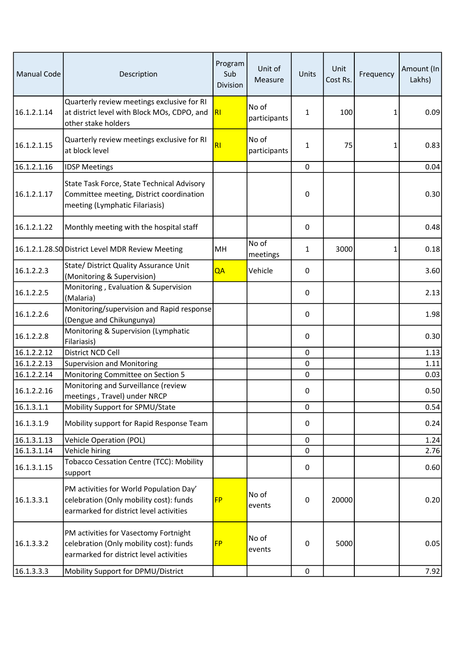| <b>Manual Code</b> | Description                                                                                                                   | Program<br>Sub<br>Division | Unit of<br>Measure    | Units               | Unit<br>Cost Rs. | Frequency | Amount (In<br>Lakhs) |
|--------------------|-------------------------------------------------------------------------------------------------------------------------------|----------------------------|-----------------------|---------------------|------------------|-----------|----------------------|
| 16.1.2.1.14        | Quarterly review meetings exclusive for RI<br>at district level with Block MOs, CDPO, and<br>other stake holders              | <b>RI</b>                  | No of<br>participants | 1                   | 100              | 1         | 0.09                 |
| 16.1.2.1.15        | Quarterly review meetings exclusive for RI<br>at block level                                                                  | RI                         | No of<br>participants | 1                   | 75               | 1         | 0.83                 |
| 16.1.2.1.16        | <b>IDSP Meetings</b>                                                                                                          |                            |                       | $\mathbf 0$         |                  |           | 0.04                 |
| 16.1.2.1.17        | State Task Force, State Technical Advisory<br>Committee meeting, District coordination<br>meeting (Lymphatic Filariasis)      |                            |                       | $\pmb{0}$           |                  |           | 0.30                 |
| 16.1.2.1.22        | Monthly meeting with the hospital staff                                                                                       |                            |                       | 0                   |                  |           | 0.48                 |
|                    | 16.1.2.1.28.SO District Level MDR Review Meeting                                                                              | MH                         | No of<br>meetings     | 1                   | 3000             | 1         | 0.18                 |
| 16.1.2.2.3         | State/ District Quality Assurance Unit<br>(Monitoring & Supervision)                                                          | QA                         | Vehicle               | 0                   |                  |           | 3.60                 |
| 16.1.2.2.5         | Monitoring, Evaluation & Supervision<br>(Malaria)                                                                             |                            |                       | 0                   |                  |           | 2.13                 |
| 16.1.2.2.6         | Monitoring/supervision and Rapid response<br>(Dengue and Chikungunya)                                                         |                            |                       | 0                   |                  |           | 1.98                 |
| 16.1.2.2.8         | Monitoring & Supervision (Lymphatic<br>Filariasis)                                                                            |                            |                       | 0                   |                  |           | 0.30                 |
| 16.1.2.2.12        | District NCD Cell                                                                                                             |                            |                       | 0                   |                  |           | 1.13                 |
| 16.1.2.2.13        | <b>Supervision and Monitoring</b>                                                                                             |                            |                       | 0                   |                  |           | 1.11                 |
| 16.1.2.2.14        | Monitoring Committee on Section 5                                                                                             |                            |                       | $\mathbf 0$         |                  |           | 0.03                 |
| 16.1.2.2.16        | Monitoring and Surveillance (review<br>meetings, Travel) under NRCP                                                           |                            |                       | 0                   |                  |           | 0.50                 |
| 16.1.3.1.1         | Mobility Support for SPMU/State                                                                                               |                            |                       | 0                   |                  |           | 0.54                 |
| 16.1.3.1.9         | Mobility support for Rapid Response Team                                                                                      |                            |                       | 0                   |                  |           | 0.24                 |
| 16.1.3.1.13        | <b>Vehicle Operation (POL)</b>                                                                                                |                            |                       | $\mathbf 0$         |                  |           | 1.24                 |
| 16.1.3.1.14        | Vehicle hiring                                                                                                                |                            |                       | $\mathbf 0$         |                  |           | 2.76                 |
| 16.1.3.1.15        | <b>Tobacco Cessation Centre (TCC): Mobility</b><br>support                                                                    |                            |                       | 0                   |                  |           | 0.60                 |
| 16.1.3.3.1         | PM activities for World Population Day'<br>celebration (Only mobility cost): funds<br>earmarked for district level activities | <b>FP</b>                  | No of<br>events       | 0                   | 20000            |           | 0.20                 |
| 16.1.3.3.2         | PM activities for Vasectomy Fortnight<br>celebration (Only mobility cost): funds<br>earmarked for district level activities   | <b>FP</b>                  | No of<br>events       | 0                   | 5000             |           | 0.05                 |
| 16.1.3.3.3         | Mobility Support for DPMU/District                                                                                            |                            |                       | $\mathsf{O}\xspace$ |                  |           | 7.92                 |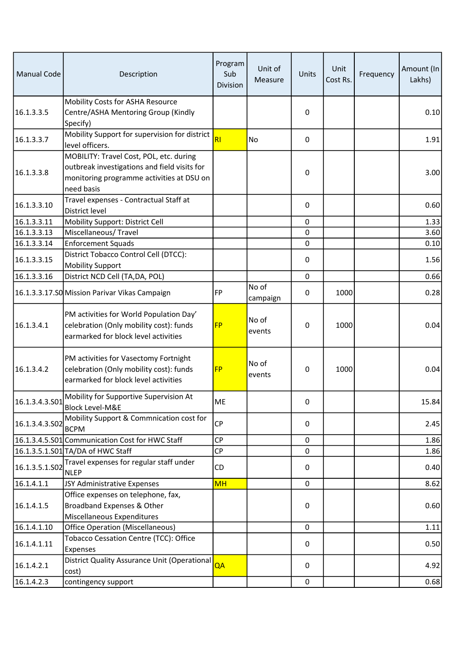| <b>Manual Code</b> | Description                                                                                                                                        | Program<br>Sub<br>Division | Unit of<br>Measure | Units       | Unit<br>Cost Rs. | Frequency | Amount (In<br>Lakhs) |
|--------------------|----------------------------------------------------------------------------------------------------------------------------------------------------|----------------------------|--------------------|-------------|------------------|-----------|----------------------|
| 16.1.3.3.5         | Mobility Costs for ASHA Resource<br>Centre/ASHA Mentoring Group (Kindly<br>Specify)                                                                |                            |                    | 0           |                  |           | 0.10                 |
| 16.1.3.3.7         | Mobility Support for supervision for district<br>level officers.                                                                                   | R <sub>l</sub>             | No                 | $\mathbf 0$ |                  |           | 1.91                 |
| 16.1.3.3.8         | MOBILITY: Travel Cost, POL, etc. during<br>outbreak investigations and field visits for<br>monitoring programme activities at DSU on<br>need basis |                            |                    | 0           |                  |           | 3.00                 |
| 16.1.3.3.10        | Travel expenses - Contractual Staff at<br>District level                                                                                           |                            |                    | $\mathbf 0$ |                  |           | 0.60                 |
| 16.1.3.3.11        | Mobility Support: District Cell                                                                                                                    |                            |                    | 0           |                  |           | 1.33                 |
| 16.1.3.3.13        | Miscellaneous/ Travel                                                                                                                              |                            |                    | 0           |                  |           | 3.60                 |
| 16.1.3.3.14        | <b>Enforcement Squads</b>                                                                                                                          |                            |                    | $\mathbf 0$ |                  |           | 0.10                 |
| 16.1.3.3.15        | District Tobacco Control Cell (DTCC):<br><b>Mobility Support</b>                                                                                   |                            |                    | 0           |                  |           | 1.56                 |
| 16.1.3.3.16        | District NCD Cell (TA, DA, POL)                                                                                                                    |                            |                    | $\mathbf 0$ |                  |           | 0.66                 |
|                    | 16.1.3.3.17.SO Mission Parivar Vikas Campaign                                                                                                      | <b>FP</b>                  | No of<br>campaign  | 0           | 1000             |           | 0.28                 |
| 16.1.3.4.1         | PM activities for World Population Day'<br>celebration (Only mobility cost): funds<br>earmarked for block level activities                         | <b>FP</b>                  | No of<br>events    | 0           | 1000             |           | 0.04                 |
| 16.1.3.4.2         | PM activities for Vasectomy Fortnight<br>celebration (Only mobility cost): funds<br>earmarked for block level activities                           | <b>FP</b>                  | No of<br>events    | 0           | 1000             |           | 0.04                 |
| 16.1.3.4.3.501     | Mobility for Supportive Supervision At<br><b>Block Level-M&amp;E</b>                                                                               | ME                         |                    | 0           |                  |           | 15.84                |
| 16.1.3.4.3.502     | Mobility Support & Commnication cost for<br><b>BCPM</b>                                                                                            | <b>CP</b>                  |                    | 0           |                  |           | 2.45                 |
|                    | 16.1.3.4.5.S01 Communication Cost for HWC Staff                                                                                                    | <b>CP</b>                  |                    | $\Omega$    |                  |           | 1.86                 |
|                    | 16.1.3.5.1.S01 TA/DA of HWC Staff                                                                                                                  | CP                         |                    | 0           |                  |           | 1.86                 |
| 16.1.3.5.1.S02     | Travel expenses for regular staff under<br><b>NLEP</b>                                                                                             | CD                         |                    | 0           |                  |           | 0.40                 |
| 16.1.4.1.1         | JSY Administrative Expenses                                                                                                                        | <b>MH</b>                  |                    | 0           |                  |           | 8.62                 |
|                    | Office expenses on telephone, fax,                                                                                                                 |                            |                    |             |                  |           |                      |
| 16.1.4.1.5         | Broadband Expenses & Other<br>Miscellaneous Expenditures                                                                                           |                            |                    | 0           |                  |           | 0.60                 |
| 16.1.4.1.10        | <b>Office Operation (Miscellaneous)</b>                                                                                                            |                            |                    | 0           |                  |           | 1.11                 |
| 16.1.4.1.11        | Tobacco Cessation Centre (TCC): Office<br>Expenses                                                                                                 |                            |                    | 0           |                  |           | 0.50                 |
| 16.1.4.2.1         | District Quality Assurance Unit (Operational<br>cost)                                                                                              | QA                         |                    | 0           |                  |           | 4.92                 |
| 16.1.4.2.3         | contingency support                                                                                                                                |                            |                    | $\mathbf 0$ |                  |           | 0.68                 |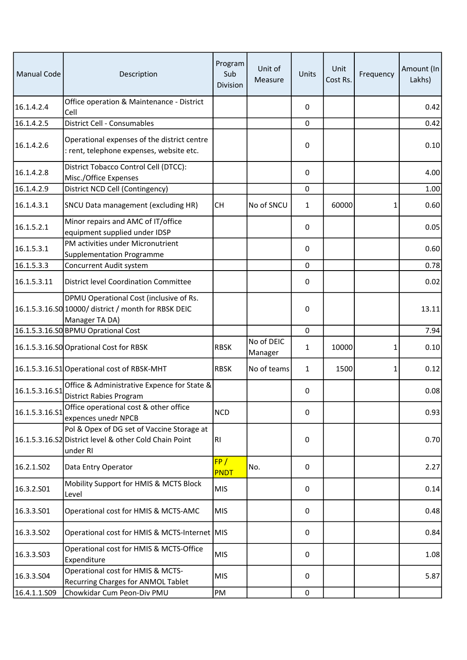| <b>Manual Code</b> | Description                                                                                                       | Program<br>Sub<br>Division | Unit of<br>Measure    | Units        | Unit<br>Cost Rs. | Frequency | Amount (In<br>Lakhs) |
|--------------------|-------------------------------------------------------------------------------------------------------------------|----------------------------|-----------------------|--------------|------------------|-----------|----------------------|
| 16.1.4.2.4         | Office operation & Maintenance - District<br>Cell                                                                 |                            |                       | 0            |                  |           | 0.42                 |
| 16.1.4.2.5         | District Cell - Consumables                                                                                       |                            |                       | 0            |                  |           | 0.42                 |
| 16.1.4.2.6         | Operational expenses of the district centre<br>: rent, telephone expenses, website etc.                           |                            |                       | 0            |                  |           | 0.10                 |
| 16.1.4.2.8         | District Tobacco Control Cell (DTCC):<br>Misc./Office Expenses                                                    |                            |                       | 0            |                  |           | 4.00                 |
| 16.1.4.2.9         | District NCD Cell (Contingency)                                                                                   |                            |                       | 0            |                  |           | 1.00                 |
| 16.1.4.3.1         | SNCU Data management (excluding HR)                                                                               | <b>CH</b>                  | No of SNCU            | $\mathbf{1}$ | 60000            | 1         | 0.60                 |
| 16.1.5.2.1         | Minor repairs and AMC of IT/office<br>equipment supplied under IDSP                                               |                            |                       | 0            |                  |           | 0.05                 |
| 16.1.5.3.1         | PM activities under Micronutrient<br>Supplementation Programme                                                    |                            |                       | 0            |                  |           | 0.60                 |
| 16.1.5.3.3         | Concurrent Audit system                                                                                           |                            |                       | $\mathbf 0$  |                  |           | 0.78                 |
| 16.1.5.3.11        | <b>District level Coordination Committee</b>                                                                      |                            |                       | 0            |                  |           | 0.02                 |
|                    | DPMU Operational Cost (inclusive of Rs.<br>16.1.5.3.16.S0 10000/ district / month for RBSK DEIC<br>Manager TA DA) |                            |                       | 0            |                  |           | 13.11                |
|                    | 16.1.5.3.16.SO BPMU Oprational Cost                                                                               |                            |                       | 0            |                  |           | 7.94                 |
|                    | 16.1.5.3.16.SO Oprational Cost for RBSK                                                                           | <b>RBSK</b>                | No of DEIC<br>Manager | 1            | 10000            | 1         | 0.10                 |
|                    | 16.1.5.3.16.S1 Operational cost of RBSK-MHT                                                                       | <b>RBSK</b>                | No of teams           | 1            | 1500             | 1         | 0.12                 |
| 16.1.5.3.16.S1     | Office & Administrative Expence for State &<br><b>District Rabies Program</b>                                     |                            |                       | 0            |                  |           | 0.08                 |
| 16.1.5.3.16.S1     | Office operational cost & other office<br>expences unedr NPCB                                                     | <b>NCD</b>                 |                       | 0            |                  |           | 0.93                 |
|                    | Pol & Opex of DG set of Vaccine Storage at<br>16.1.5.3.16.S2 District level & other Cold Chain Point<br>under RI  | R <sub>l</sub>             |                       | 0            |                  |           | 0.70                 |
| 16.2.1.SO2         | Data Entry Operator                                                                                               | FP/<br>PNDT                | No.                   | 0            |                  |           | 2.27                 |
| 16.3.2.S01         | Mobility Support for HMIS & MCTS Block<br>Level                                                                   | <b>MIS</b>                 |                       | 0            |                  |           | 0.14                 |
| 16.3.3.501         | Operational cost for HMIS & MCTS-AMC                                                                              | <b>MIS</b>                 |                       | 0            |                  |           | 0.48                 |
| 16.3.3.SO2         | Operational cost for HMIS & MCTS-Internet MIS                                                                     |                            |                       | 0            |                  |           | 0.84                 |
| 16.3.3.503         | Operational cost for HMIS & MCTS-Office<br>Expenditure                                                            | <b>MIS</b>                 |                       | 0            |                  |           | 1.08                 |
| 16.3.3.504         | Operational cost for HMIS & MCTS-<br>Recurring Charges for ANMOL Tablet                                           | <b>MIS</b>                 |                       | 0            |                  |           | 5.87                 |
| 16.4.1.1.S09       | Chowkidar Cum Peon-Div PMU                                                                                        | PM                         |                       | $\pmb{0}$    |                  |           |                      |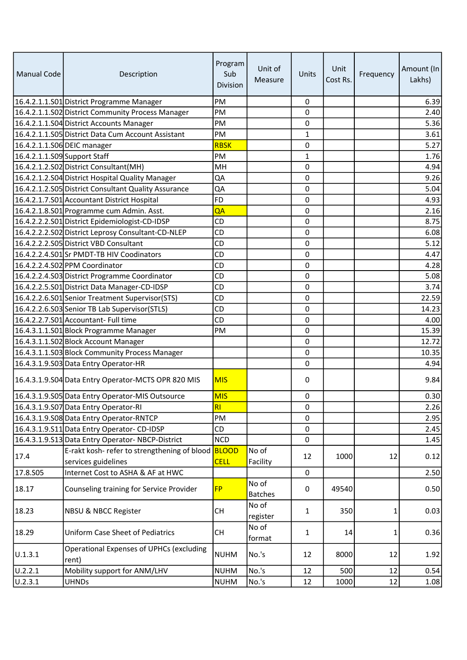| <b>Manual Code</b>           | Description                                              | Program<br>Sub<br>Division | Unit of<br>Measure      | Units        | Unit<br>Cost Rs. | Frequency | Amount (In<br>Lakhs) |
|------------------------------|----------------------------------------------------------|----------------------------|-------------------------|--------------|------------------|-----------|----------------------|
|                              | 16.4.2.1.1.S01 District Programme Manager                | PM                         |                         | $\pmb{0}$    |                  |           | 6.39                 |
|                              | 16.4.2.1.1.S02 District Community Process Manager        | PM                         |                         | 0            |                  |           | 2.40                 |
|                              | 16.4.2.1.1.S04 District Accounts Manager                 | PM                         |                         | 0            |                  |           | 5.36                 |
|                              | 16.4.2.1.1.S05 District Data Cum Account Assistant       | PM                         |                         | $\mathbf{1}$ |                  |           | 3.61                 |
| 16.4.2.1.1.S06 DEIC manager  |                                                          | <b>RBSK</b>                |                         | 0            |                  |           | 5.27                 |
| 16.4.2.1.1.S09 Support Staff |                                                          | PM                         |                         | $\mathbf{1}$ |                  |           | 1.76                 |
|                              | 16.4.2.1.2.S02 District Consultant(MH)                   | MH                         |                         | 0            |                  |           | 4.94                 |
|                              | 16.4.2.1.2.S04 District Hospital Quality Manager         | QA                         |                         | 0            |                  |           | 9.26                 |
|                              | 16.4.2.1.2.S05 District Consultant Quality Assurance     | QA                         |                         | 0            |                  |           | 5.04                 |
|                              | 16.4.2.1.7.S01 Accountant District Hospital              | <b>FD</b>                  |                         | 0            |                  |           | 4.93                 |
|                              | 16.4.2.1.8.S01 Programme cum Admin. Asst.                | QA                         |                         | 0            |                  |           | 2.16                 |
|                              | 16.4.2.2.2.S01 District Epidemiologist-CD-IDSP           | CD                         |                         | 0            |                  |           | 8.75                 |
|                              | 16.4.2.2.2.S02 District Leprosy Consultant-CD-NLEP       | <b>CD</b>                  |                         | 0            |                  |           | 6.08                 |
|                              | 16.4.2.2.2.S05 District VBD Consultant                   | <b>CD</b>                  |                         | 0            |                  |           | 5.12                 |
|                              | 16.4.2.2.4.S01Sr PMDT-TB HIV Coodinators                 | CD                         |                         | 0            |                  |           | 4.47                 |
|                              | 16.4.2.2.4.S02 PPM Coordinator                           | CD                         |                         | 0            |                  |           | 4.28                 |
|                              | 16.4.2.2.4.S03 District Programme Coordinator            | <b>CD</b>                  |                         | 0            |                  |           | 5.08                 |
|                              | 16.4.2.2.5.S01 District Data Manager-CD-IDSP             | CD                         |                         | 0            |                  |           | 3.74                 |
|                              | 16.4.2.2.6.S01 Senior Treatment Supervisor (STS)         | CD                         |                         | 0            |                  |           | 22.59                |
|                              | 16.4.2.2.6.S03 Senior TB Lab Supervisor (STLS)           | <b>CD</b>                  |                         | 0            |                  |           | 14.23                |
|                              | 16.4.2.2.7.S01 Accountant- Full time                     | CD                         |                         | 0            |                  |           | 4.00                 |
|                              | 16.4.3.1.1.S01 Block Programme Manager                   | PM                         |                         | 0            |                  |           | 15.39                |
|                              | 16.4.3.1.1.S02 Block Account Manager                     |                            |                         | 0            |                  |           | 12.72                |
|                              | 16.4.3.1.1.S03 Block Community Process Manager           |                            |                         | 0            |                  |           | 10.35                |
|                              | 16.4.3.1.9.S03 Data Entry Operator-HR                    |                            |                         | 0            |                  |           | 4.94                 |
|                              | 16.4.3.1.9.S04 Data Entry Operator-MCTS OPR 820 MIS      | <b>MIS</b>                 |                         | 0            |                  |           | 9.84                 |
|                              | 16.4.3.1.9.S05 Data Entry Operator-MIS Outsource         | <b>MIS</b>                 |                         | 0            |                  |           | 0.30                 |
|                              | 16.4.3.1.9.S07 Data Entry Operator-RI                    | <b>RI</b>                  |                         | 0            |                  |           | 2.26                 |
|                              | 16.4.3.1.9.S08 Data Entry Operator-RNTCP                 | PM                         |                         | 0            |                  |           | 2.95                 |
|                              | 16.4.3.1.9.S11 Data Entry Operator-CD-IDSP               | CD                         |                         | 0            |                  |           | 2.45                 |
|                              | 16.4.3.1.9.S13 Data Entry Operator-NBCP-District         | <b>NCD</b>                 |                         | 0            |                  |           | 1.45                 |
|                              | E-rakt kosh- refer to strengthening of blood             | BLOOD                      | No of                   |              |                  |           |                      |
| 17.4                         | services guidelines                                      | <b>CELL</b>                | Facility                | 12           | 1000             | 12        | 0.12                 |
| 17.8.S05                     | Internet Cost to ASHA & AF at HWC                        |                            |                         | 0            |                  |           | 2.50                 |
| 18.17                        | Counseling training for Service Provider                 | <b>FP</b>                  | No of<br><b>Batches</b> | 0            | 49540            |           | 0.50                 |
| 18.23                        | <b>NBSU &amp; NBCC Register</b>                          | <b>CH</b>                  | No of<br>register       | $\mathbf{1}$ | 350              | 1         | 0.03                 |
| 18.29                        | <b>Uniform Case Sheet of Pediatrics</b>                  | CH                         | No of<br>format         | $\mathbf{1}$ | 14               | 1         | 0.36                 |
| U.1.3.1                      | <b>Operational Expenses of UPHCs (excluding</b><br>rent) | <b>NUHM</b>                | No.'s                   | 12           | 8000             | 12        | 1.92                 |
| U.2.2.1                      | Mobility support for ANM/LHV                             | <b>NUHM</b>                | No.'s                   | 12           | 500              | 12        | 0.54                 |
| U.2.3.1                      | <b>UHNDs</b>                                             | <b>NUHM</b>                | No.'s                   | 12           | 1000             | 12        | 1.08                 |